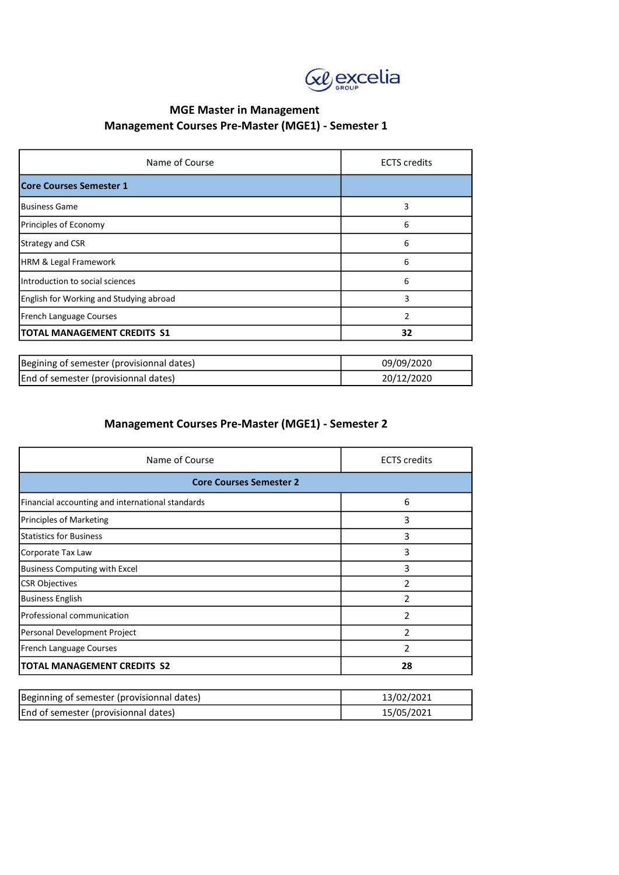

### MGE Master in Management Management Courses Pre-Master (MGE1) - Semester 1

| Name of Course                            | <b>ECTS</b> credits |  |
|-------------------------------------------|---------------------|--|
| Core Courses Semester 1                   |                     |  |
| <b>Business Game</b>                      | 3                   |  |
| Principles of Economy                     | 6                   |  |
| Strategy and CSR                          | 6                   |  |
| <b>HRM &amp; Legal Framework</b>          | 6                   |  |
| Introduction to social sciences           | 6                   |  |
| English for Working and Studying abroad   | 3                   |  |
| <b>French Language Courses</b>            | $\overline{2}$      |  |
| <b>TOTAL MANAGEMENT CREDITS S1</b>        | 32                  |  |
|                                           |                     |  |
| Begining of semester (provisionnal dates) | 09/09/2020          |  |
| End of semester (provisionnal dates)      | 20/12/2020          |  |

### Management Courses Pre-Master (MGE1) - Semester 2

| Name of Course                                   | <b>ECTS</b> credits |  |
|--------------------------------------------------|---------------------|--|
| <b>Core Courses Semester 2</b>                   |                     |  |
| Financial accounting and international standards | 6                   |  |
| Principles of Marketing                          | 3                   |  |
| <b>Statistics for Business</b>                   | 3                   |  |
| Corporate Tax Law                                | 3                   |  |
| <b>Business Computing with Excel</b>             | 3                   |  |
| <b>CSR Objectives</b>                            | 2                   |  |
| <b>Business English</b>                          | $\mathcal{P}$       |  |
| Professional communication                       | 2                   |  |
| Personal Development Project                     | $\mathfrak z$       |  |
| French Language Courses                          | $\mathfrak{p}$      |  |
| <b>TOTAL MANAGEMENT CREDITS S2</b>               | 28                  |  |

| Beginning of semester (provisionnal dates) | 13/02/2021 |
|--------------------------------------------|------------|
| End of semester (provisionnal dates)       | 15/05/2021 |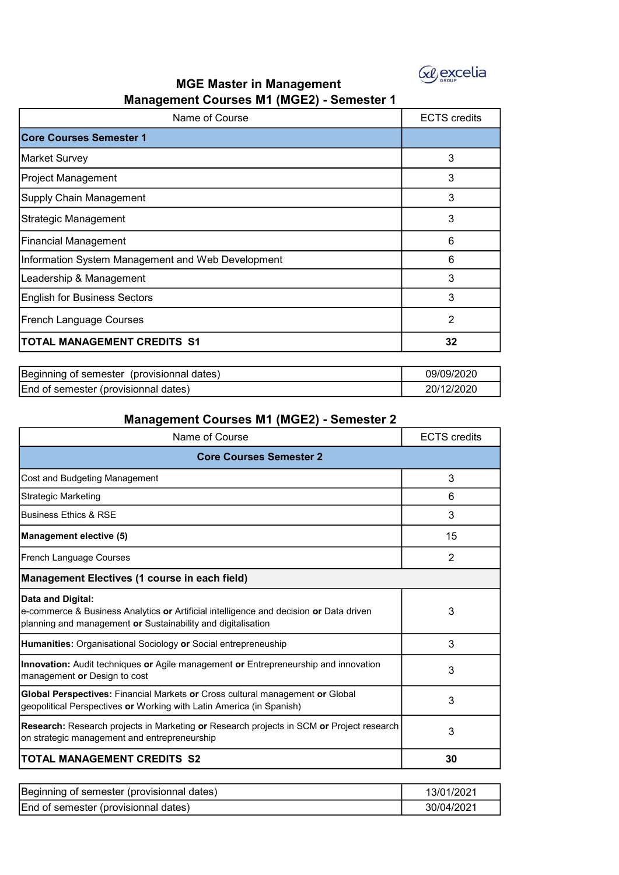

### MGE Master in Management Management Courses M1 (MGE2) - Semester 1

| Name of Course                                    | <b>ECTS</b> credits |
|---------------------------------------------------|---------------------|
| <b>Core Courses Semester 1</b>                    |                     |
| Market Survey                                     | 3                   |
| Project Management                                | 3                   |
| Supply Chain Management                           | 3                   |
| Strategic Management                              | 3                   |
| <b>Financial Management</b>                       | 6                   |
| Information System Management and Web Development | 6                   |
| Leadership & Management                           | 3                   |
| <b>English for Business Sectors</b>               | 3                   |
| French Language Courses                           | $\overline{2}$      |
| <b>TOTAL MANAGEMENT CREDITS S1</b>                | 32                  |

| Beginning of semester<br>(provisionnal dates) | 09/09/2020 |
|-----------------------------------------------|------------|
| End of semester (provisionnal dates)          | 2/2020     |

## Management Courses M1 (MGE2) - Semester 2

| Name of Course                                                                                                                                                              | <b>ECTS</b> credits |  |
|-----------------------------------------------------------------------------------------------------------------------------------------------------------------------------|---------------------|--|
| <b>Core Courses Semester 2</b>                                                                                                                                              |                     |  |
| Cost and Budgeting Management                                                                                                                                               | 3                   |  |
| <b>Strategic Marketing</b>                                                                                                                                                  | 6                   |  |
| <b>Business Ethics &amp; RSE</b>                                                                                                                                            | 3                   |  |
| <b>Management elective (5)</b>                                                                                                                                              | 15                  |  |
| French Language Courses                                                                                                                                                     | 2                   |  |
| Management Electives (1 course in each field)                                                                                                                               |                     |  |
| Data and Digital:<br>e-commerce & Business Analytics or Artificial intelligence and decision or Data driven<br>planning and management or Sustainability and digitalisation | 3                   |  |
| <b>Humanities: Organisational Sociology or Social entrepreneuship</b>                                                                                                       | 3                   |  |
| <b>Innovation:</b> Audit techniques or Agile management or Entrepreneurship and innovation<br>management or Design to cost                                                  | 3                   |  |
| Global Perspectives: Financial Markets or Cross cultural management or Global<br>geopolitical Perspectives or Working with Latin America (in Spanish)                       | 3                   |  |
| Research: Research projects in Marketing or Research projects in SCM or Project research<br>on strategic management and entrepreneurship                                    | 3                   |  |
| <b>TOTAL MANAGEMENT CREDITS S2</b>                                                                                                                                          | 30                  |  |

| Beginning of semester (provisionnal dates) | 3/01/2021  |
|--------------------------------------------|------------|
| End of semester (provisionnal dates)       | 30/04/2021 |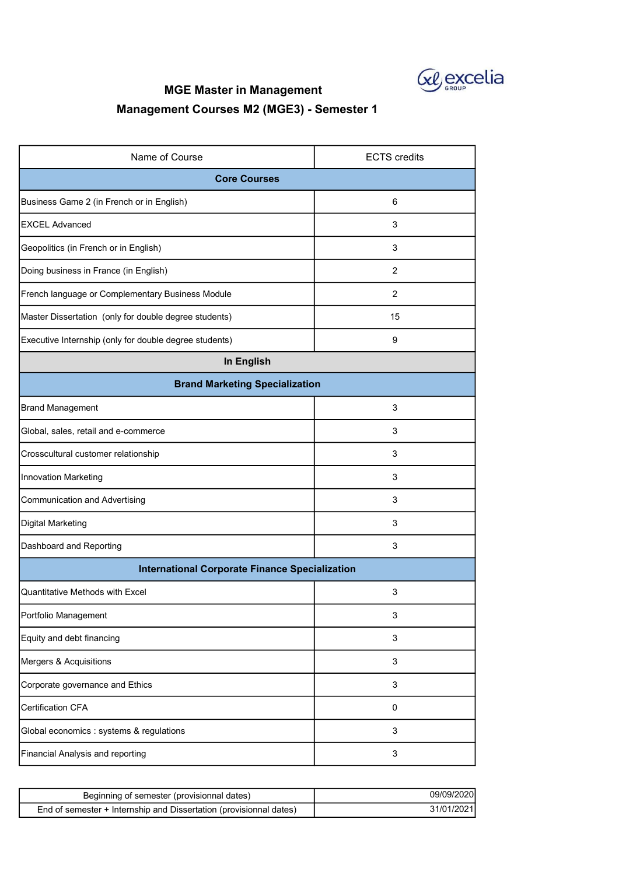

# MGE Master in Management

# Management Courses M2 (MGE3) - Semester 1

| Name of Course                                         | <b>ECTS</b> credits |  |
|--------------------------------------------------------|---------------------|--|
| <b>Core Courses</b>                                    |                     |  |
| Business Game 2 (in French or in English)              | 6                   |  |
| <b>EXCEL Advanced</b>                                  | 3                   |  |
| Geopolitics (in French or in English)                  | 3                   |  |
| Doing business in France (in English)                  | $\overline{2}$      |  |
| French language or Complementary Business Module       | 2                   |  |
| Master Dissertation (only for double degree students)  | 15                  |  |
| Executive Internship (only for double degree students) | 9                   |  |
| In English                                             |                     |  |
| <b>Brand Marketing Specialization</b>                  |                     |  |
| <b>Brand Management</b>                                | 3                   |  |
| Global, sales, retail and e-commerce                   | 3                   |  |
| Crosscultural customer relationship                    | 3                   |  |
| Innovation Marketing                                   | 3                   |  |
| <b>Communication and Advertising</b>                   | 3                   |  |
| Digital Marketing                                      | 3                   |  |
| Dashboard and Reporting                                | 3                   |  |
| <b>International Corporate Finance Specialization</b>  |                     |  |
| Quantitative Methods with Excel                        | 3                   |  |
| Portfolio Management                                   | 3                   |  |
| Equity and debt financing                              | 3                   |  |
| Mergers & Acquisitions                                 | 3                   |  |
| Corporate governance and Ethics                        | 3                   |  |
| <b>Certification CFA</b>                               | $\mathbf 0$         |  |
| Global economics : systems & regulations               | 3                   |  |
| Financial Analysis and reporting                       | 3                   |  |

| Beginning of semester (provisionnal dates)                         | 09/09/2020  |
|--------------------------------------------------------------------|-------------|
| End of semester + Internship and Dissertation (provisionnal dates) | 31/01/2021l |